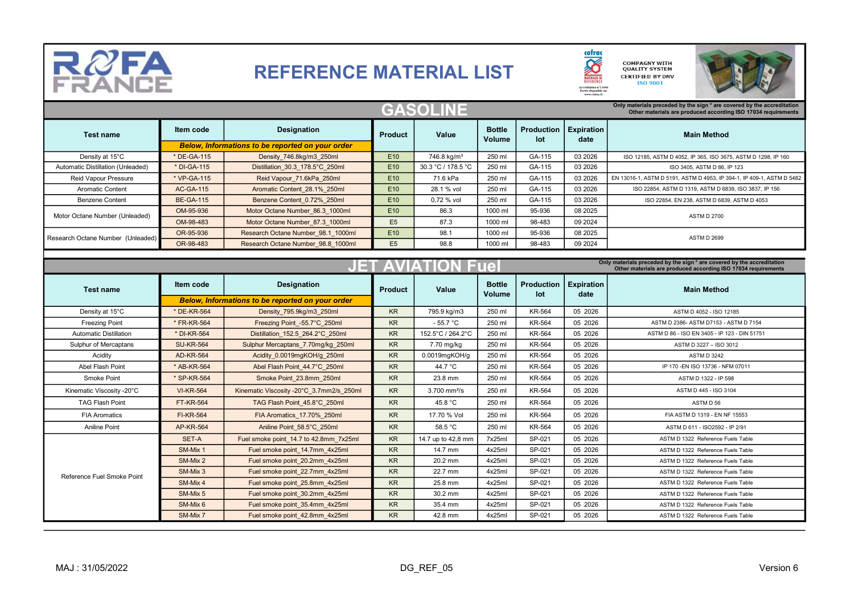

## REFERENCE MATERIAL LIST



| <b>GASOLINE</b><br>Only materials preceded by the sign * are covered by the accreditation<br>Other materials are produced according ISO 17034 requirements |                  |                                                         |                 |                         |                         |                          |                           |                                                                                                                                         |  |  |  |
|------------------------------------------------------------------------------------------------------------------------------------------------------------|------------------|---------------------------------------------------------|-----------------|-------------------------|-------------------------|--------------------------|---------------------------|-----------------------------------------------------------------------------------------------------------------------------------------|--|--|--|
| <b>Test name</b>                                                                                                                                           | Item code        | <b>Designation</b>                                      | <b>Product</b>  | Value                   | <b>Bottle</b><br>Volume | <b>Production</b><br>lot | <b>Expiration</b><br>date | <b>Main Method</b>                                                                                                                      |  |  |  |
|                                                                                                                                                            |                  | <b>Below, Informations to be reported on your order</b> |                 |                         |                         |                          |                           |                                                                                                                                         |  |  |  |
| Density at 15°C                                                                                                                                            | * DE-GA-115      | Density 746.8kg/m3 250ml                                | E <sub>10</sub> | 746.8 kg/m <sup>3</sup> | 250 ml                  | GA-115                   | 03 2026                   | ISO 12185, ASTM D 4052, IP 365, ISO 3675, ASTM D 1298, IP 160                                                                           |  |  |  |
| Automatic Distillation (Unleaded)                                                                                                                          | * DI-GA-115      | Distillation 30.3 178.5°C 250ml                         | E <sub>10</sub> | 30.3 °C / 178.5 °C      | 250 ml                  | GA-115                   | 03 2026                   | ISO 3405, ASTM D 86, IP 123                                                                                                             |  |  |  |
| <b>Reid Vapour Pressure</b>                                                                                                                                | * VP-GA-115      | Reid Vapour 71.6kPa 250ml                               | E <sub>10</sub> | 71.6 kPa                | 250 ml                  | GA-115                   | 03 2026                   | EN 13016-1, ASTM D 5191, ASTM D 4953, IP 394-1, IP 409-1, ASTM D 5482                                                                   |  |  |  |
| <b>Aromatic Content</b>                                                                                                                                    | <b>AC-GA-115</b> | Aromatic Content 28.1% 250ml                            | E <sub>10</sub> | 28.1 % vol              | 250 ml                  | GA-115                   | 03 2026                   | ISO 22854, ASTM D 1319, ASTM D 6839, ISO 3837, IP 156                                                                                   |  |  |  |
| <b>Benzene Content</b>                                                                                                                                     | <b>BE-GA-115</b> | Benzene Content 0.72% 250ml                             | E <sub>10</sub> | 0,72 % vol              | 250 ml                  | GA-115                   | 03 2026                   | ISO 22854, EN 238, ASTM D 6839, ASTM D 4053                                                                                             |  |  |  |
| Motor Octane Number (Unleaded)                                                                                                                             | OM-95-936        | Motor Octane Number 86.3 1000ml                         | E <sub>10</sub> | 86.3                    | 1000 ml                 | 95-936                   | 08 2025                   | <b>ASTM D 2700</b>                                                                                                                      |  |  |  |
|                                                                                                                                                            | OM-98-483        | Motor Octane Number 87.3 1000ml                         | E <sub>5</sub>  | 87.3                    | 1000 ml                 | 98-483                   | 09 20 24                  |                                                                                                                                         |  |  |  |
| Research Octane Number (Unleaded)                                                                                                                          | OR-95-936        | Research Octane Number 98.1 1000ml                      | E <sub>10</sub> | 98.1                    | 1000 ml                 | 95-936                   | 08 20 25                  | <b>ASTM D 2699</b>                                                                                                                      |  |  |  |
|                                                                                                                                                            | OR-98-483        | Research Octane Number 98.8 1000ml                      | E <sub>5</sub>  | 98.8                    | 1000 ml                 | 98-483                   | 09 20 24                  |                                                                                                                                         |  |  |  |
|                                                                                                                                                            |                  |                                                         |                 |                         |                         |                          |                           |                                                                                                                                         |  |  |  |
| E.<br>$\triangle$                                                                                                                                          |                  |                                                         |                 |                         |                         |                          |                           | Only materials preceded by the sign * are covered by the accreditation<br>Other materials are produced according ISO 17034 requirements |  |  |  |
| <b>Test name</b>                                                                                                                                           | Item code        | <b>Designation</b>                                      | <b>Product</b>  | Value                   | <b>Bottle</b><br>Volume | <b>Production</b><br>lot | <b>Expiration</b><br>date | <b>Main Method</b>                                                                                                                      |  |  |  |
|                                                                                                                                                            |                  | <b>Below, Informations to be reported on your order</b> |                 |                         |                         |                          |                           |                                                                                                                                         |  |  |  |
| Density at 15°C                                                                                                                                            | * DE-KR-564      | Density 795.9kg/m3 250ml                                | <b>KR</b>       | 795.9 kg/m3             | 250 ml                  | <b>KR-564</b>            | 05 2026                   | ASTM D 4052 - ISO 12185                                                                                                                 |  |  |  |
| <b>Freezing Point</b>                                                                                                                                      | * FR-KR-564      | Freezing Point -55.7°C 250ml                            | <b>KR</b>       | $-55.7 °C$              | 250 ml                  | <b>KR-564</b>            | 05 2026                   | ASTM D 2386- ASTM D7153 - ASTM D 7154                                                                                                   |  |  |  |
| <b>Automatic Distillation</b>                                                                                                                              | * DI-KR-564      | Distillation 152.5 264.2°C 250ml                        | <b>KR</b>       | 152.5°C / 264.2°C       | 250 ml                  | <b>KR-564</b>            | 05 2026                   | ASTM D 86 - ISO EN 3405 - IP 123 - DIN 51751                                                                                            |  |  |  |
| Sulphur of Mercaptans                                                                                                                                      | <b>SU-KR-564</b> | Sulphur Mercaptans 7.70mg/kg 250ml                      | <b>KR</b>       | 7.70 mg/kg              | 250 ml                  | <b>KR-564</b>            | 05 2026                   | ASTM D 3227 - ISO 3012                                                                                                                  |  |  |  |
| Acidity                                                                                                                                                    | <b>AD-KR-564</b> | Acidity 0.0019mgKOH/g 250ml                             | <b>KR</b>       | $0.0019$ mg $KOH/g$     | 250 ml                  | <b>KR-564</b>            | 05 2026                   | <b>ASTM D 3242</b>                                                                                                                      |  |  |  |
| Abel Flash Point                                                                                                                                           | * AB-KR-564      | Abel Flash Point 44.7°C 250ml                           | <b>KR</b>       | 44.7 °C                 | 250 ml                  | <b>KR-564</b>            | 05 2026                   | IP 170 - EN ISO 13736 - NFM 07011                                                                                                       |  |  |  |
| Smoke Point                                                                                                                                                | * SP-KR-564      | Smoke Point 23.8mm 250ml                                | <b>KR</b>       | 23.8 mm                 | 250 ml                  | <b>KR-564</b>            | 05 2026                   | ASTM D 1322 - IP 598                                                                                                                    |  |  |  |
| Kinematic Viscosity -20°C                                                                                                                                  | <b>VI-KR-564</b> | Kinematic Viscosity -20°C 3.7mm2/s 250ml                | <b>KR</b>       | $3.700$ mm $2/s$        | 250 ml                  | <b>KR-564</b>            | 05 2026                   | ASTM D 445 - ISO 3104                                                                                                                   |  |  |  |
| <b>TAG Flash Point</b>                                                                                                                                     | <b>FT-KR-564</b> | TAG Flash Point 45.8°C 250ml                            | <b>KR</b>       | 45.8 °C                 | 250 ml                  | KR-564                   | 05 2026                   | ASTM D 56                                                                                                                               |  |  |  |
| <b>FIA Aromatics</b>                                                                                                                                       | <b>FI-KR-564</b> | FIA Aromatics 17.70% 250ml                              | <b>KR</b>       | 17.70 % Vol             | 250 ml                  | <b>KR-564</b>            | 05 2026                   | FIA ASTM D 1319 - EN NF 15553                                                                                                           |  |  |  |
| <b>Aniline Point</b>                                                                                                                                       | <b>AP-KR-564</b> | Aniline Point 58.5°C 250ml                              | <b>KR</b>       | 58.5 °C                 | 250 ml                  | <b>KR-564</b>            | 05 2026                   | ASTM D 611 - ISO2592 - IP 2/91                                                                                                          |  |  |  |
|                                                                                                                                                            | SET-A            | Fuel smoke point 14.7 to 42.8mm 7x25ml                  | <b>KR</b>       | 14.7 up to 42,8 mm      | 7x25ml                  | SP-021                   | 05 2026                   | ASTM D 1322 Reference Fuels Table                                                                                                       |  |  |  |
| Reference Fuel Smoke Point                                                                                                                                 | SM-Mix 1         | Fuel smoke point 14.7mm 4x25ml                          | <b>KR</b>       | 14.7 mm                 | 4x25ml                  | SP-021                   | 05 2026                   | ASTM D 1322 Reference Fuels Table                                                                                                       |  |  |  |
|                                                                                                                                                            | SM-Mix 2         | Fuel smoke point 20.2mm 4x25ml                          | <b>KR</b>       | 20.2 mm                 | 4x25ml                  | SP-021                   | 05 2026                   | ASTM D 1322 Reference Fuels Table                                                                                                       |  |  |  |
|                                                                                                                                                            | SM-Mix 3         | Fuel smoke point 22.7mm 4x25ml                          | <b>KR</b>       | 22.7 mm                 | 4x25ml                  | SP-021                   | 05 2026                   | ASTM D 1322 Reference Fuels Table                                                                                                       |  |  |  |
|                                                                                                                                                            | SM-Mix 4         | Fuel smoke point 25.8mm 4x25ml                          | <b>KR</b>       | 25.8 mm                 | 4x25ml                  | SP-021                   | 05 2026                   | ASTM D 1322 Reference Fuels Table                                                                                                       |  |  |  |
|                                                                                                                                                            | SM-Mix 5         | Fuel smoke point 30.2mm 4x25ml                          | <b>KR</b>       | 30.2 mm                 | 4x25ml                  | SP-021                   | 05 2026                   | ASTM D 1322 Reference Fuels Table                                                                                                       |  |  |  |

SM-Mix 6 Fuel smoke point\_35.4mm 4x25ml KR 35.4 mm 4x25ml SP-021 05 2026 ASTM D 1322 Reference Fuels Table SM-Mix 7 Fuel smoke point\_42.8mm\_4x25ml KR 42.8 mm 4x25ml SP-021 05 2026 ASTM D 1322 Reference Fuels Table